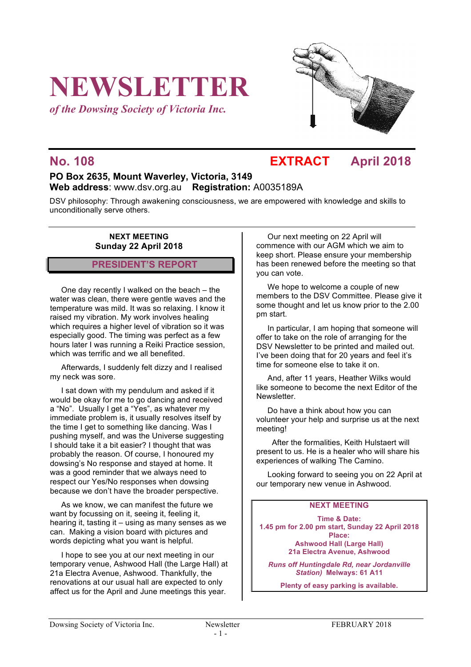# **NEWSLETTER**

*of the Dowsing Society of Victoria Inc.*



## **No. 108 EXTRACT April 2018**

### **PO Box 2635, Mount Waverley, Victoria, 3149 Web address**: www.dsv.org.au **Registration:** A0035189A

DSV philosophy: Through awakening consciousness, we are empowered with knowledge and skills to unconditionally serve others.

#### **NEXT MEETING Sunday 22 April 2018**

#### **PRESIDENT'S REPORT**

One day recently I walked on the beach – the water was clean, there were gentle waves and the temperature was mild. It was so relaxing. I know it raised my vibration. My work involves healing which requires a higher level of vibration so it was especially good. The timing was perfect as a few hours later I was running a Reiki Practice session, which was terrific and we all benefited.

Afterwards, I suddenly felt dizzy and I realised my neck was sore.

I sat down with my pendulum and asked if it would be okay for me to go dancing and received a "No". Usually I get a "Yes", as whatever my immediate problem is, it usually resolves itself by the time I get to something like dancing. Was I pushing myself, and was the Universe suggesting I should take it a bit easier? I thought that was probably the reason. Of course, I honoured my dowsing's No response and stayed at home. It was a good reminder that we always need to respect our Yes/No responses when dowsing because we don't have the broader perspective.

As we know, we can manifest the future we want by focussing on it, seeing it, feeling it, hearing it, tasting it – using as many senses as we can. Making a vision board with pictures and words depicting what you want is helpful.

I hope to see you at our next meeting in our temporary venue, Ashwood Hall (the Large Hall) at 21a Electra Avenue, Ashwood. Thankfully, the renovations at our usual hall are expected to only affect us for the April and June meetings this year.

Our next meeting on 22 April will commence with our AGM which we aim to keep short. Please ensure your membership has been renewed before the meeting so that you can vote.

We hope to welcome a couple of new members to the DSV Committee. Please give it some thought and let us know prior to the 2.00 pm start.

In particular, I am hoping that someone will offer to take on the role of arranging for the DSV Newsletter to be printed and mailed out. I've been doing that for 20 years and feel it's time for someone else to take it on.

And, after 11 years, Heather Wilks would like someone to become the next Editor of the Newsletter.

Do have a think about how you can volunteer your help and surprise us at the next meeting!

 After the formalities, Keith Hulstaert will present to us. He is a healer who will share his experiences of walking The Camino.

Looking forward to seeing you on 22 April at our temporary new venue in Ashwood.

#### **NEXT MEETING**

**Time & Date: 1.45 pm for 2.00 pm start, Sunday 22 April 2018 Place: Ashwood Hall (Large Hall) 21a Electra Avenue, Ashwood**

*Runs off Huntingdale Rd, near Jordanville Station)* **Melways: 61 A11**

**Plenty of easy parking is available.**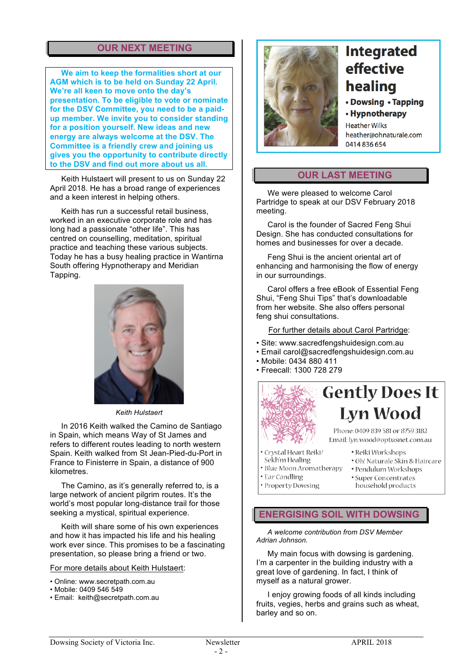### **OUR NEXT MEETING**

**We aim to keep the formalities short at our AGM which is to be held on Sunday 22 April. We're all keen to move onto the day's presentation. To be eligible to vote or nominate for the DSV Committee, you need to be a paidup member. We invite you to consider standing for a position yourself. New ideas and new energy are always welcome at the DSV. The Committee is a friendly crew and joining us gives you the opportunity to contribute directly to the DSV and find out more about us all.**

Keith Hulstaert will present to us on Sunday 22 April 2018. He has a broad range of experiences and a keen interest in helping others.

Keith has run a successful retail business, worked in an executive corporate role and has long had a passionate "other life". This has centred on counselling, meditation, spiritual practice and teaching these various subjects. Today he has a busy healing practice in Wantirna South offering Hypnotherapy and Meridian Tapping.



*Keith Hulstaert*

In 2016 Keith walked the Camino de Santiago in Spain, which means Way of St James and refers to different routes leading to north western Spain. Keith walked from St Jean-Pied-du-Port in France to Finisterre in Spain, a distance of 900 kilometres.

The Camino, as it's generally referred to, is a large network of ancient pilgrim routes. It's the world's most popular long-distance trail for those seeking a mystical, spiritual experience.

Keith will share some of his own experiences and how it has impacted his life and his healing work ever since. This promises to be a fascinating presentation, so please bring a friend or two.

For more details about Keith Hulstaert:

- Online: www.secretpath.com.au
- Mobile: 0409 546 549
- Email: keith@secretpath.com.au



# **Integrated** effective healing

• Dowsing • Tapping

• Hypnotherapy

**Heather Wilks** heather@ohnaturale.com 0414836654

#### **OUR LAST MEETING**

We were pleased to welcome Carol Partridge to speak at our DSV February 2018 meeting.

Carol is the founder of Sacred Feng Shui Design. She has conducted consultations for homes and businesses for over a decade.

Feng Shui is the ancient oriental art of enhancing and harmonising the flow of energy in our surroundings.

Carol offers a free eBook of Essential Feng Shui, "Feng Shui Tips" that's downloadable from her website. She also offers personal feng shui consultations.

For further details about Carol Partridge:

- Site: www.sacredfengshuidesign.com.au
- Email carol@sacredfengshuidesign.com.au
- Mobile: 0434 880 411
- Freecall: 1300 728 279



# **Gently Does It Lyn Wood**

Phone: 0409 839 581 or 8759 3182 Email: lyn.wood@optusnet.com.au

- Crystal Heart Reiki/ Sekh'm Healing
- · Reiki Workshops · Oh! Naturale Skin & Haircare · Pendulum Workshops
- · Blue Moon Aromatherapy
- Ear Candling
	- · Super Concentrates household products
- · Property Dowsing

#### **ENERGISING SOIL WITH DOWSING**

*A welcome contribution from DSV Member Adrian Johnson.*

My main focus with dowsing is gardening. I'm a carpenter in the building industry with a great love of gardening. In fact, I think of myself as a natural grower.

I enjoy growing foods of all kinds including fruits, vegies, herbs and grains such as wheat, barley and so on.